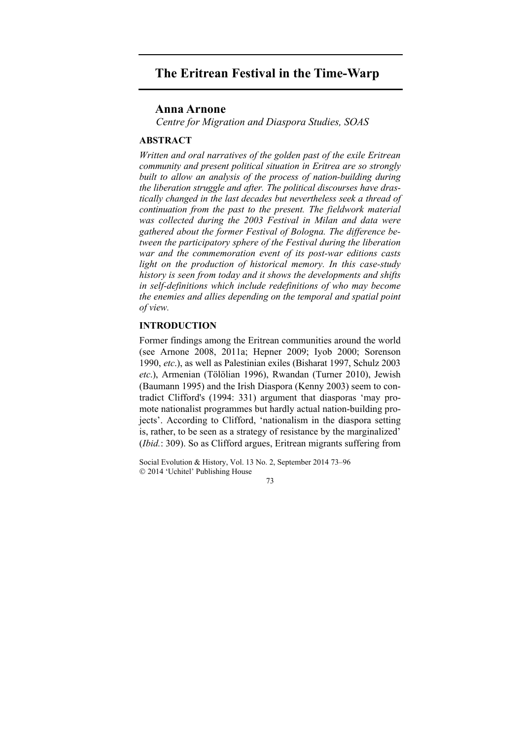# **The Eritrean Festival in the Time-Warp**

#### **Anna Arnone**

*Centre for Migration and Diaspora Studies, SOAS*

# **ABSTRACT**

*Written and oral narratives of the golden past of the exile Eritrean community and present political situation in Eritrea are so strongly built to allow an analysis of the process of nation-building during the liberation struggle and after. The political discourses have drastically changed in the last decades but nevertheless seek a thread of continuation from the past to the present. The fieldwork material was collected during the 2003 Festival in Milan and data were gathered about the former Festival of Bologna. The difference between the participatory sphere of the Festival during the liberation war and the commemoration event of its post-war editions casts light on the production of historical memory. In this case-study history is seen from today and it shows the developments and shifts in self-definitions which include redefinitions of who may become the enemies and allies depending on the temporal and spatial point of view.* 

#### **INTRODUCTION**

Former findings among the Eritrean communities around the world (see Arnone 2008, 2011a; Hepner 2009; Iyob 2000; Sorenson 1990, *etc*.), as well as Palestinian exiles (Bisharat 1997, Schulz 2003 *etc*.), Armenian (Tölölian 1996), Rwandan (Turner 2010), Jewish (Baumann 1995) and the Irish Diaspora (Kenny 2003) seem to contradict Clifford's (1994: 331) argument that diasporas 'may promote nationalist programmes but hardly actual nation-building projects'. According to Clifford, 'nationalism in the diaspora setting is, rather, to be seen as a strategy of resistance by the marginalized' (*Ibid.*: 309). So as Clifford argues, Eritrean migrants suffering from

Social Evolution & History, Vol. 13 No. 2, September 2014 73–96 2014 'Uchitel' Publishing House

73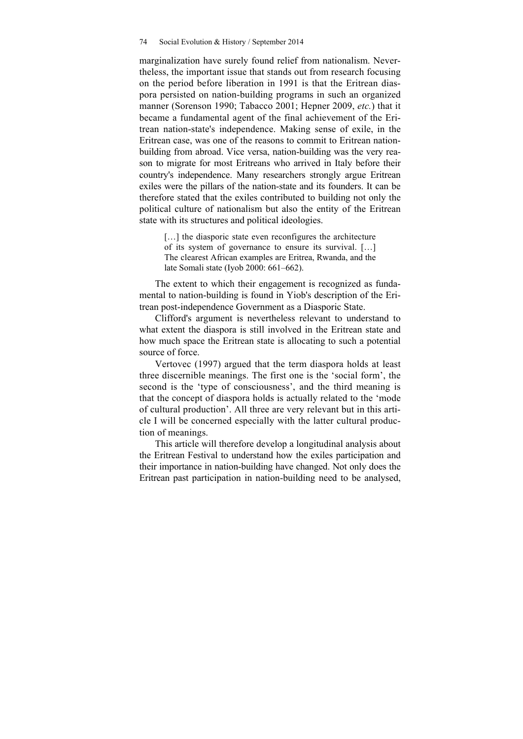marginalization have surely found relief from nationalism. Nevertheless, the important issue that stands out from research focusing on the period before liberation in 1991 is that the Eritrean diaspora persisted on nation-building programs in such an organized manner (Sorenson 1990; Tabacco 2001; Hepner 2009, *etc.*) that it became a fundamental agent of the final achievement of the Eritrean nation-state's independence. Making sense of exile, in the Eritrean case, was one of the reasons to commit to Eritrean nationbuilding from abroad. Vice versa, nation-building was the very reason to migrate for most Eritreans who arrived in Italy before their country's independence. Many researchers strongly argue Eritrean exiles were the pillars of the nation-state and its founders. It can be therefore stated that the exiles contributed to building not only the political culture of nationalism but also the entity of the Eritrean state with its structures and political ideologies.

[...] the diasporic state even reconfigures the architecture of its system of governance to ensure its survival. […] The clearest African examples are Eritrea, Rwanda, and the late Somali state (Iyob 2000: 661–662).

The extent to which their engagement is recognized as fundamental to nation-building is found in Yiob's description of the Eritrean post-independence Government as a Diasporic State.

Clifford's argument is nevertheless relevant to understand to what extent the diaspora is still involved in the Eritrean state and how much space the Eritrean state is allocating to such a potential source of force.

Vertovec (1997) argued that the term diaspora holds at least three discernible meanings. The first one is the 'social form', the second is the 'type of consciousness', and the third meaning is that the concept of diaspora holds is actually related to the 'mode of cultural production'. All three are very relevant but in this article I will be concerned especially with the latter cultural production of meanings.

This article will therefore develop a longitudinal analysis about the Eritrean Festival to understand how the exiles participation and their importance in nation-building have changed. Not only does the Eritrean past participation in nation-building need to be analysed,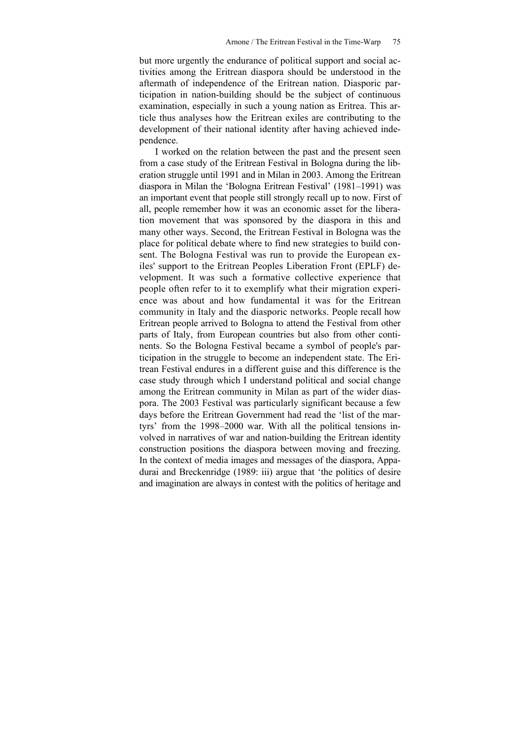but more urgently the endurance of political support and social activities among the Eritrean diaspora should be understood in the aftermath of independence of the Eritrean nation. Diasporic participation in nation-building should be the subject of continuous examination, especially in such a young nation as Eritrea. This article thus analyses how the Eritrean exiles are contributing to the development of their national identity after having achieved independence.

I worked on the relation between the past and the present seen from a case study of the Eritrean Festival in Bologna during the liberation struggle until 1991 and in Milan in 2003. Among the Eritrean diaspora in Milan the 'Bologna Eritrean Festival' (1981–1991) was an important event that people still strongly recall up to now. First of all, people remember how it was an economic asset for the liberation movement that was sponsored by the diaspora in this and many other ways. Second, the Eritrean Festival in Bologna was the place for political debate where to find new strategies to build consent. The Bologna Festival was run to provide the European exiles' support to the Eritrean Peoples Liberation Front (EPLF) development. It was such a formative collective experience that people often refer to it to exemplify what their migration experience was about and how fundamental it was for the Eritrean community in Italy and the diasporic networks. People recall how Eritrean people arrived to Bologna to attend the Festival from other parts of Italy, from European countries but also from other continents. So the Bologna Festival became a symbol of people's participation in the struggle to become an independent state. The Eritrean Festival endures in a different guise and this difference is the case study through which I understand political and social change among the Eritrean community in Milan as part of the wider diaspora. The 2003 Festival was particularly significant because a few days before the Eritrean Government had read the 'list of the martyrs' from the 1998–2000 war. With all the political tensions involved in narratives of war and nation-building the Eritrean identity construction positions the diaspora between moving and freezing. In the context of media images and messages of the diaspora, Appadurai and Breckenridge (1989: iii) argue that 'the politics of desire and imagination are always in contest with the politics of heritage and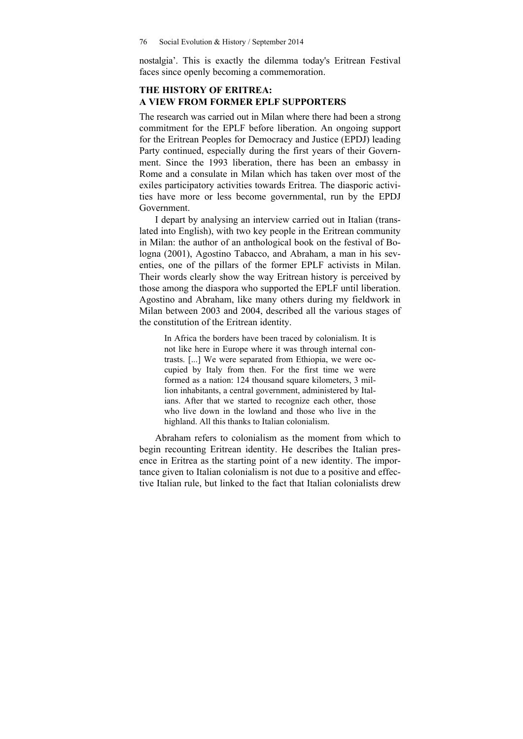nostalgia'. This is exactly the dilemma today's Eritrean Festival faces since openly becoming a commemoration.

# **THE HISTORY OF ERITREA: A VIEW FROM FORMER EPLF SUPPORTERS**

The research was carried out in Milan where there had been a strong commitment for the EPLF before liberation. An ongoing support for the Eritrean Peoples for Democracy and Justice (EPDJ) leading Party continued, especially during the first years of their Government. Since the 1993 liberation, there has been an embassy in Rome and a consulate in Milan which has taken over most of the exiles participatory activities towards Eritrea. The diasporic activities have more or less become governmental, run by the EPDJ Government.

I depart by analysing an interview carried out in Italian (translated into English), with two key people in the Eritrean community in Milan: the author of an anthological book on the festival of Bologna (2001), Agostino Tabacco, and Abraham, a man in his seventies, one of the pillars of the former EPLF activists in Milan. Their words clearly show the way Eritrean history is perceived by those among the diaspora who supported the EPLF until liberation. Agostino and Abraham, like many others during my fieldwork in Milan between 2003 and 2004, described all the various stages of the constitution of the Eritrean identity.

In Africa the borders have been traced by colonialism. It is not like here in Europe where it was through internal contrasts. [...] We were separated from Ethiopia, we were occupied by Italy from then. For the first time we were formed as a nation: 124 thousand square kilometers, 3 million inhabitants, a central government, administered by Italians. After that we started to recognize each other, those who live down in the lowland and those who live in the highland. All this thanks to Italian colonialism.

Abraham refers to colonialism as the moment from which to begin recounting Eritrean identity. He describes the Italian presence in Eritrea as the starting point of a new identity. The importance given to Italian colonialism is not due to a positive and effective Italian rule, but linked to the fact that Italian colonialists drew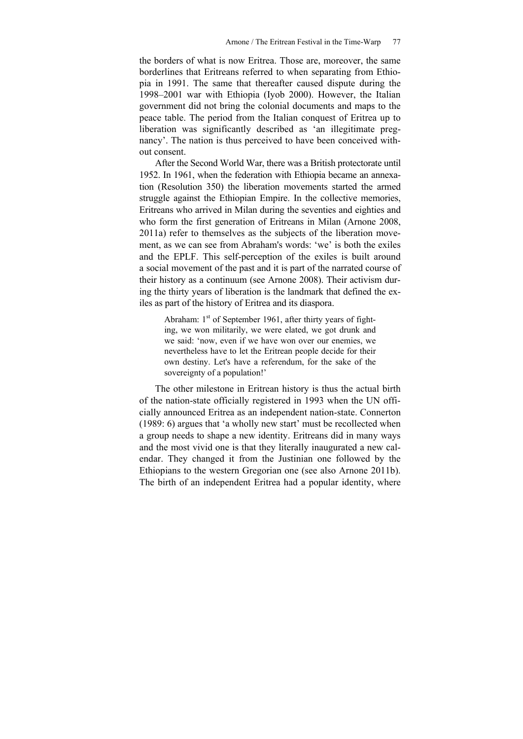the borders of what is now Eritrea. Those are, moreover, the same borderlines that Eritreans referred to when separating from Ethiopia in 1991. The same that thereafter caused dispute during the 1998–2001 war with Ethiopia (Iyob 2000). However, the Italian government did not bring the colonial documents and maps to the peace table. The period from the Italian conquest of Eritrea up to liberation was significantly described as 'an illegitimate pregnancy'. The nation is thus perceived to have been conceived without consent.

After the Second World War, there was a British protectorate until 1952. In 1961, when the federation with Ethiopia became an annexation (Resolution 350) the liberation movements started the armed struggle against the Ethiopian Empire. In the collective memories, Eritreans who arrived in Milan during the seventies and eighties and who form the first generation of Eritreans in Milan (Arnone 2008, 2011a) refer to themselves as the subjects of the liberation movement, as we can see from Abraham's words: 'we' is both the exiles and the EPLF. This self-perception of the exiles is built around a social movement of the past and it is part of the narrated course of their history as a continuum (see Arnone 2008). Their activism during the thirty years of liberation is the landmark that defined the exiles as part of the history of Eritrea and its diaspora.

Abraham:  $1<sup>st</sup>$  of September 1961, after thirty years of fighting, we won militarily, we were elated, we got drunk and we said: 'now, even if we have won over our enemies, we nevertheless have to let the Eritrean people decide for their own destiny. Let's have a referendum, for the sake of the sovereignty of a population!'

The other milestone in Eritrean history is thus the actual birth of the nation-state officially registered in 1993 when the UN officially announced Eritrea as an independent nation-state. Connerton (1989: 6) argues that 'a wholly new start' must be recollected when a group needs to shape a new identity. Eritreans did in many ways and the most vivid one is that they literally inaugurated a new calendar. They changed it from the Justinian one followed by the Ethiopians to the western Gregorian one (see also Arnone 2011b). The birth of an independent Eritrea had a popular identity, where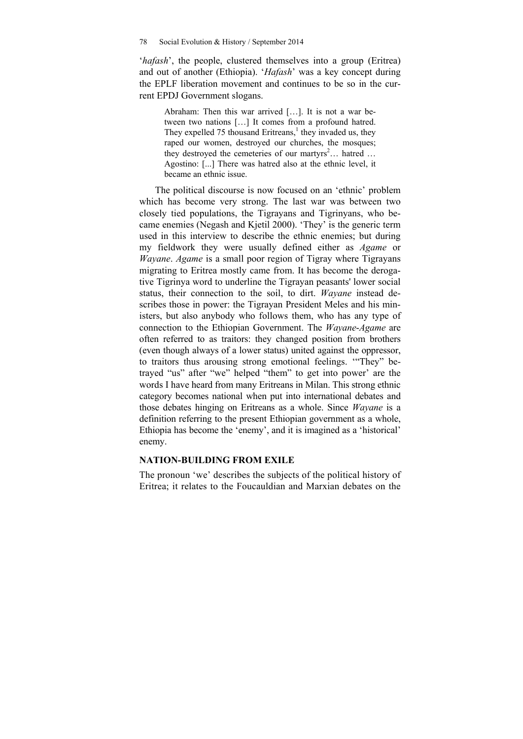'*hafash*', the people, clustered themselves into a group (Eritrea) and out of another (Ethiopia). '*Hafash*' was a key concept during the EPLF liberation movement and continues to be so in the current EPDJ Government slogans.

Abraham: Then this war arrived […]. It is not a war between two nations […] It comes from a profound hatred. They expelled  $75$  thousand Eritreans,<sup>1</sup> they invaded us, they raped our women, destroyed our churches, the mosques; they destroyed the cemeteries of our martyrs<sup>2</sup>... hatred ... Agostino: [...] There was hatred also at the ethnic level, it became an ethnic issue.

The political discourse is now focused on an 'ethnic' problem which has become very strong. The last war was between two closely tied populations, the Tigrayans and Tigrinyans, who became enemies (Negash and Kjetil 2000). 'They' is the generic term used in this interview to describe the ethnic enemies; but during my fieldwork they were usually defined either as *Agame* or *Wayane*. *Agame* is a small poor region of Tigray where Tigrayans migrating to Eritrea mostly came from. It has become the derogative Tigrinya word to underline the Tigrayan peasants' lower social status, their connection to the soil, to dirt. *Wayane* instead describes those in power: the Tigrayan President Meles and his ministers, but also anybody who follows them, who has any type of connection to the Ethiopian Government. The *Wayane*-*Agame* are often referred to as traitors: they changed position from brothers (even though always of a lower status) united against the oppressor, to traitors thus arousing strong emotional feelings. '"They" betrayed "us" after "we" helped "them" to get into power' are the words I have heard from many Eritreans in Milan. This strong ethnic category becomes national when put into international debates and those debates hinging on Eritreans as a whole. Since *Wayane* is a definition referring to the present Ethiopian government as a whole, Ethiopia has become the 'enemy', and it is imagined as a 'historical' enemy.

#### **NATION-BUILDING FROM EXILE**

The pronoun 'we' describes the subjects of the political history of Eritrea; it relates to the Foucauldian and Marxian debates on the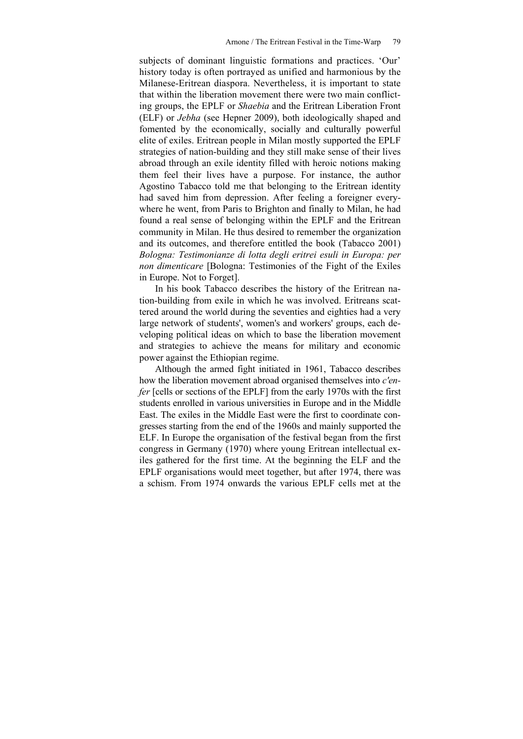subjects of dominant linguistic formations and practices. 'Our' history today is often portrayed as unified and harmonious by the Milanese-Eritrean diaspora. Nevertheless, it is important to state that within the liberation movement there were two main conflicting groups, the EPLF or *Shaebia* and the Eritrean Liberation Front (ELF) or *Jebha* (see Hepner 2009), both ideologically shaped and fomented by the economically, socially and culturally powerful elite of exiles. Eritrean people in Milan mostly supported the EPLF strategies of nation-building and they still make sense of their lives abroad through an exile identity filled with heroic notions making them feel their lives have a purpose. For instance, the author Agostino Tabacco told me that belonging to the Eritrean identity had saved him from depression. After feeling a foreigner everywhere he went, from Paris to Brighton and finally to Milan, he had found a real sense of belonging within the EPLF and the Eritrean community in Milan. He thus desired to remember the organization and its outcomes, and therefore entitled the book (Tabacco 2001) *Bologna: Testimonianze di lotta degli eritrei esuli in Europa: per non dimenticare* [Bologna: Testimonies of the Fight of the Exiles in Europe. Not to Forget].

In his book Tabacco describes the history of the Eritrean nation-building from exile in which he was involved. Eritreans scattered around the world during the seventies and eighties had a very large network of students', women's and workers' groups, each developing political ideas on which to base the liberation movement and strategies to achieve the means for military and economic power against the Ethiopian regime.

Although the armed fight initiated in 1961, Tabacco describes how the liberation movement abroad organised themselves into *c'enfer* [cells or sections of the EPLF] from the early 1970s with the first students enrolled in various universities in Europe and in the Middle East. The exiles in the Middle East were the first to coordinate congresses starting from the end of the 1960s and mainly supported the ELF. In Europe the organisation of the festival began from the first congress in Germany (1970) where young Eritrean intellectual exiles gathered for the first time. At the beginning the ELF and the EPLF organisations would meet together, but after 1974, there was a schism. From 1974 onwards the various EPLF cells met at the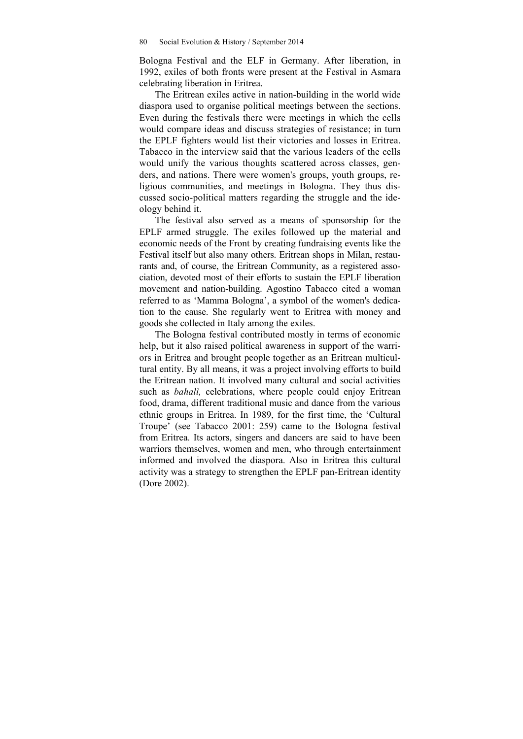Bologna Festival and the ELF in Germany. After liberation, in 1992, exiles of both fronts were present at the Festival in Asmara celebrating liberation in Eritrea.

The Eritrean exiles active in nation-building in the world wide diaspora used to organise political meetings between the sections. Even during the festivals there were meetings in which the cells would compare ideas and discuss strategies of resistance; in turn the EPLF fighters would list their victories and losses in Eritrea. Tabacco in the interview said that the various leaders of the cells would unify the various thoughts scattered across classes, genders, and nations. There were women's groups, youth groups, religious communities, and meetings in Bologna. They thus discussed socio-political matters regarding the struggle and the ideology behind it.

The festival also served as a means of sponsorship for the EPLF armed struggle. The exiles followed up the material and economic needs of the Front by creating fundraising events like the Festival itself but also many others. Eritrean shops in Milan, restaurants and, of course, the Eritrean Community, as a registered association, devoted most of their efforts to sustain the EPLF liberation movement and nation-building. Agostino Tabacco cited a woman referred to as 'Mamma Bologna', a symbol of the women's dedication to the cause. She regularly went to Eritrea with money and goods she collected in Italy among the exiles.

The Bologna festival contributed mostly in terms of economic help, but it also raised political awareness in support of the warriors in Eritrea and brought people together as an Eritrean multicultural entity. By all means, it was a project involving efforts to build the Eritrean nation. It involved many cultural and social activities such as *bahalì,* celebrations, where people could enjoy Eritrean food, drama, different traditional music and dance from the various ethnic groups in Eritrea. In 1989, for the first time, the 'Cultural Troupe' (see Tabacco 2001: 259) came to the Bologna festival from Eritrea. Its actors, singers and dancers are said to have been warriors themselves, women and men, who through entertainment informed and involved the diaspora. Also in Eritrea this cultural activity was a strategy to strengthen the EPLF pan-Eritrean identity (Dore 2002).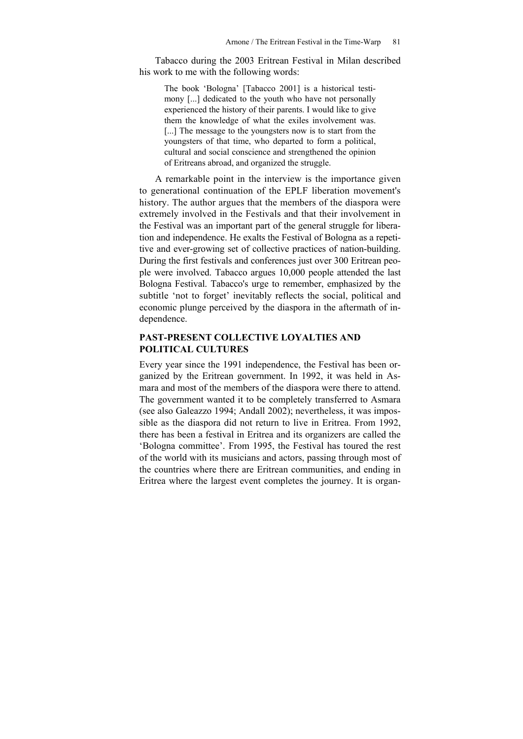Tabacco during the 2003 Eritrean Festival in Milan described his work to me with the following words:

The book 'Bologna' [Tabacco 2001] is a historical testimony [...] dedicated to the youth who have not personally experienced the history of their parents. I would like to give them the knowledge of what the exiles involvement was. [...] The message to the youngsters now is to start from the youngsters of that time, who departed to form a political, cultural and social conscience and strengthened the opinion of Eritreans abroad, and organized the struggle.

A remarkable point in the interview is the importance given to generational continuation of the EPLF liberation movement's history. The author argues that the members of the diaspora were extremely involved in the Festivals and that their involvement in the Festival was an important part of the general struggle for liberation and independence. He exalts the Festival of Bologna as a repetitive and ever-growing set of collective practices of nation-building. During the first festivals and conferences just over 300 Eritrean people were involved. Tabacco argues 10,000 people attended the last Bologna Festival. Tabacco's urge to remember, emphasized by the subtitle 'not to forget' inevitably reflects the social, political and economic plunge perceived by the diaspora in the aftermath of independence.

# **PAST-PRESENT COLLECTIVE LOYALTIES AND POLITICAL CULTURES**

Every year since the 1991 independence, the Festival has been organized by the Eritrean government. In 1992, it was held in Asmara and most of the members of the diaspora were there to attend. The government wanted it to be completely transferred to Asmara (see also Galeazzo 1994; Andall 2002); nevertheless, it was impossible as the diaspora did not return to live in Eritrea. From 1992, there has been a festival in Eritrea and its organizers are called the 'Bologna committee'. From 1995, the Festival has toured the rest of the world with its musicians and actors, passing through most of the countries where there are Eritrean communities, and ending in Eritrea where the largest event completes the journey. It is organ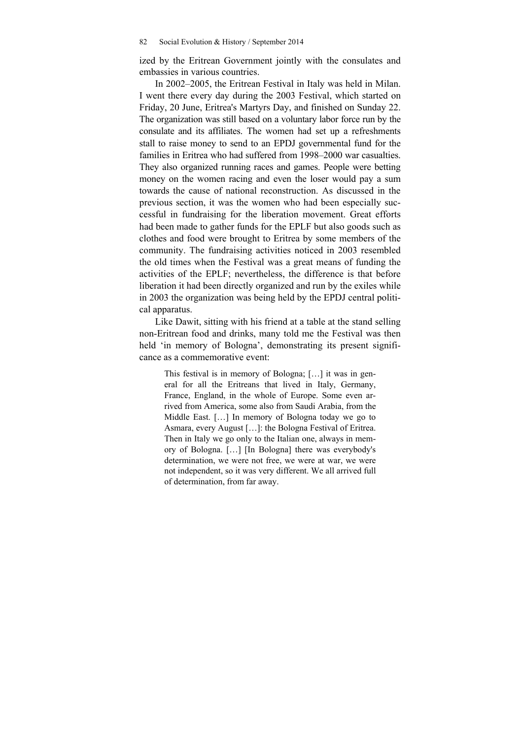ized by the Eritrean Government jointly with the consulates and embassies in various countries.

In 2002–2005, the Eritrean Festival in Italy was held in Milan. I went there every day during the 2003 Festival, which started on Friday, 20 June, Eritrea's Martyrs Day, and finished on Sunday 22. The organization was still based on a voluntary labor force run by the consulate and its affiliates. The women had set up a refreshments stall to raise money to send to an EPDJ governmental fund for the families in Eritrea who had suffered from 1998–2000 war casualties. They also organized running races and games. People were betting money on the women racing and even the loser would pay a sum towards the cause of national reconstruction. As discussed in the previous section, it was the women who had been especially successful in fundraising for the liberation movement. Great efforts had been made to gather funds for the EPLF but also goods such as clothes and food were brought to Eritrea by some members of the community. The fundraising activities noticed in 2003 resembled the old times when the Festival was a great means of funding the activities of the EPLF; nevertheless, the difference is that before liberation it had been directly organized and run by the exiles while in 2003 the organization was being held by the EPDJ central political apparatus.

Like Dawit, sitting with his friend at a table at the stand selling non-Eritrean food and drinks, many told me the Festival was then held 'in memory of Bologna', demonstrating its present significance as a commemorative event:

This festival is in memory of Bologna; […] it was in general for all the Eritreans that lived in Italy, Germany, France, England, in the whole of Europe. Some even arrived from America, some also from Saudi Arabia, from the Middle East. […] In memory of Bologna today we go to Asmara, every August […]: the Bologna Festival of Eritrea. Then in Italy we go only to the Italian one, always in memory of Bologna. […] [In Bologna] there was everybody's determination, we were not free, we were at war, we were not independent, so it was very different. We all arrived full of determination, from far away.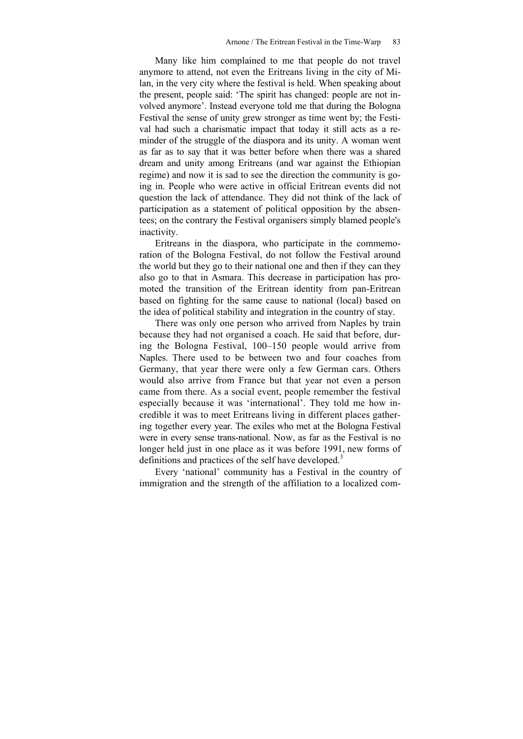Many like him complained to me that people do not travel anymore to attend, not even the Eritreans living in the city of Milan, in the very city where the festival is held. When speaking about the present, people said: 'The spirit has changed: people are not involved anymore'. Instead everyone told me that during the Bologna Festival the sense of unity grew stronger as time went by; the Festival had such a charismatic impact that today it still acts as a reminder of the struggle of the diaspora and its unity. A woman went as far as to say that it was better before when there was a shared dream and unity among Eritreans (and war against the Ethiopian regime) and now it is sad to see the direction the community is going in. People who were active in official Eritrean events did not question the lack of attendance. They did not think of the lack of participation as a statement of political opposition by the absentees; on the contrary the Festival organisers simply blamed people's inactivity.

Eritreans in the diaspora, who participate in the commemoration of the Bologna Festival, do not follow the Festival around the world but they go to their national one and then if they can they also go to that in Asmara. This decrease in participation has promoted the transition of the Eritrean identity from pan-Eritrean based on fighting for the same cause to national (local) based on the idea of political stability and integration in the country of stay.

There was only one person who arrived from Naples by train because they had not organised a coach. He said that before, during the Bologna Festival, 100–150 people would arrive from Naples. There used to be between two and four coaches from Germany, that year there were only a few German cars. Others would also arrive from France but that year not even a person came from there. As a social event, people remember the festival especially because it was 'international'. They told me how incredible it was to meet Eritreans living in different places gathering together every year. The exiles who met at the Bologna Festival were in every sense trans-national. Now, as far as the Festival is no longer held just in one place as it was before 1991, new forms of definitions and practices of the self have developed.<sup>3</sup>

Every 'national' community has a Festival in the country of immigration and the strength of the affiliation to a localized com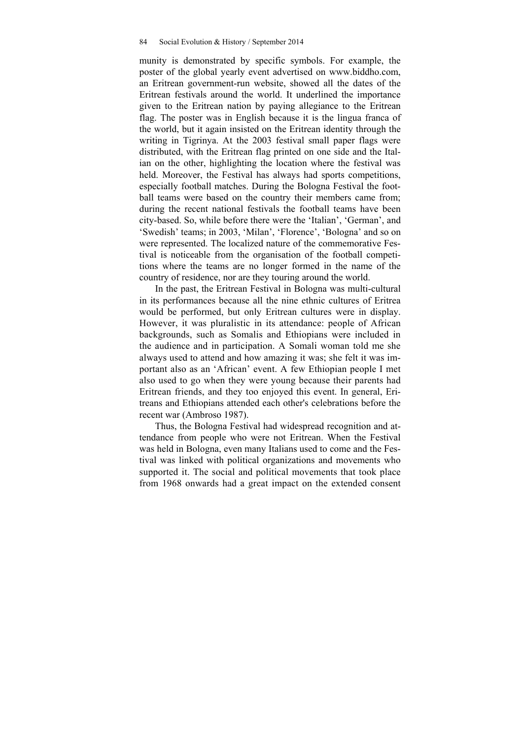munity is demonstrated by specific symbols. For example, the poster of the global yearly event advertised on www.biddho.com, an Eritrean government-run website, showed all the dates of the Eritrean festivals around the world. It underlined the importance given to the Eritrean nation by paying allegiance to the Eritrean flag. The poster was in English because it is the lingua franca of the world, but it again insisted on the Eritrean identity through the writing in Tigrinya. At the 2003 festival small paper flags were distributed, with the Eritrean flag printed on one side and the Italian on the other, highlighting the location where the festival was held. Moreover, the Festival has always had sports competitions, especially football matches. During the Bologna Festival the football teams were based on the country their members came from; during the recent national festivals the football teams have been city-based. So, while before there were the 'Italian', 'German', and 'Swedish' teams; in 2003, 'Milan', 'Florence', 'Bologna' and so on were represented. The localized nature of the commemorative Festival is noticeable from the organisation of the football competitions where the teams are no longer formed in the name of the country of residence, nor are they touring around the world.

In the past, the Eritrean Festival in Bologna was multi-cultural in its performances because all the nine ethnic cultures of Eritrea would be performed, but only Eritrean cultures were in display. However, it was pluralistic in its attendance: people of African backgrounds, such as Somalis and Ethiopians were included in the audience and in participation. A Somali woman told me she always used to attend and how amazing it was; she felt it was important also as an 'African' event. A few Ethiopian people I met also used to go when they were young because their parents had Eritrean friends, and they too enjoyed this event. In general, Eritreans and Ethiopians attended each other's celebrations before the recent war (Ambroso 1987).

Thus, the Bologna Festival had widespread recognition and attendance from people who were not Eritrean. When the Festival was held in Bologna, even many Italians used to come and the Festival was linked with political organizations and movements who supported it. The social and political movements that took place from 1968 onwards had a great impact on the extended consent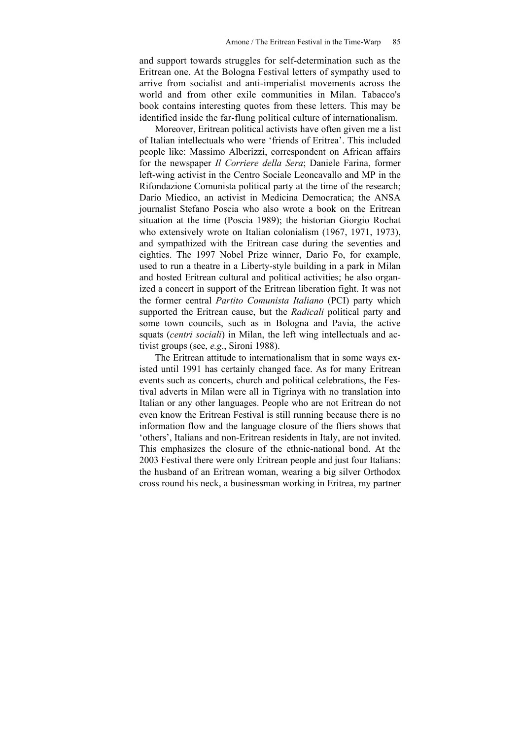and support towards struggles for self-determination such as the Eritrean one. At the Bologna Festival letters of sympathy used to arrive from socialist and anti-imperialist movements across the world and from other exile communities in Milan. Tabacco's book contains interesting quotes from these letters. This may be identified inside the far-flung political culture of internationalism.

Moreover, Eritrean political activists have often given me a list of Italian intellectuals who were 'friends of Eritrea'. This included people like: Massimo Alberizzi, correspondent on African affairs for the newspaper *Il Corriere della Sera*; Daniele Farina, former left-wing activist in the Centro Sociale Leoncavallo and MP in the Rifondazione Comunista political party at the time of the research; Dario Miedico, an activist in Medicina Democratica; the ANSA journalist Stefano Poscia who also wrote a book on the Eritrean situation at the time (Poscia 1989); the historian Giorgio Rochat who extensively wrote on Italian colonialism (1967, 1971, 1973), and sympathized with the Eritrean case during the seventies and eighties. The 1997 Nobel Prize winner, Dario Fo, for example, used to run a theatre in a Liberty-style building in a park in Milan and hosted Eritrean cultural and political activities; he also organized a concert in support of the Eritrean liberation fight. It was not the former central *Partito Comunista Italiano* (PCI) party which supported the Eritrean cause, but the *Radicali* political party and some town councils, such as in Bologna and Pavia, the active squats (*centri sociali*) in Milan, the left wing intellectuals and activist groups (see, *e.g*., Sironi 1988).

The Eritrean attitude to internationalism that in some ways existed until 1991 has certainly changed face. As for many Eritrean events such as concerts, church and political celebrations, the Festival adverts in Milan were all in Tigrinya with no translation into Italian or any other languages. People who are not Eritrean do not even know the Eritrean Festival is still running because there is no information flow and the language closure of the fliers shows that 'others', Italians and non-Eritrean residents in Italy, are not invited. This emphasizes the closure of the ethnic-national bond. At the 2003 Festival there were only Eritrean people and just four Italians: the husband of an Eritrean woman, wearing a big silver Orthodox cross round his neck, a businessman working in Eritrea, my partner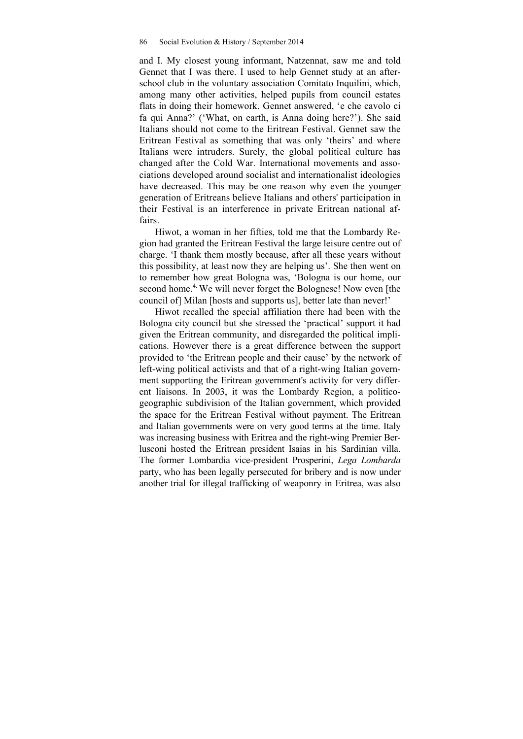and I. My closest young informant, Natzennat, saw me and told Gennet that I was there. I used to help Gennet study at an afterschool club in the voluntary association Comitato Inquilini, which, among many other activities, helped pupils from council estates flats in doing their homework. Gennet answered, 'e che cavolo ci fa qui Anna?' ('What, on earth, is Anna doing here?'). She said Italians should not come to the Eritrean Festival. Gennet saw the Eritrean Festival as something that was only 'theirs' and where Italians were intruders. Surely, the global political culture has changed after the Cold War. International movements and associations developed around socialist and internationalist ideologies have decreased. This may be one reason why even the younger generation of Eritreans believe Italians and others' participation in their Festival is an interference in private Eritrean national affairs.

Hiwot, a woman in her fifties, told me that the Lombardy Region had granted the Eritrean Festival the large leisure centre out of charge. 'I thank them mostly because, after all these years without this possibility, at least now they are helping us'. She then went on to remember how great Bologna was, 'Bologna is our home, our second home.<sup>4</sup> We will never forget the Bolognese! Now even [the council of] Milan [hosts and supports us], better late than never!'

Hiwot recalled the special affiliation there had been with the Bologna city council but she stressed the 'practical' support it had given the Eritrean community, and disregarded the political implications. However there is a great difference between the support provided to 'the Eritrean people and their cause' by the network of left-wing political activists and that of a right-wing Italian government supporting the Eritrean government's activity for very different liaisons. In 2003, it was the Lombardy Region, a politicogeographic subdivision of the Italian government, which provided the space for the Eritrean Festival without payment. The Eritrean and Italian governments were on very good terms at the time. Italy was increasing business with Eritrea and the right-wing Premier Berlusconi hosted the Eritrean president Isaias in his Sardinian villa. The former Lombardia vice-president Prosperini, *Lega Lombarda* party, who has been legally persecuted for bribery and is now under another trial for illegal trafficking of weaponry in Eritrea, was also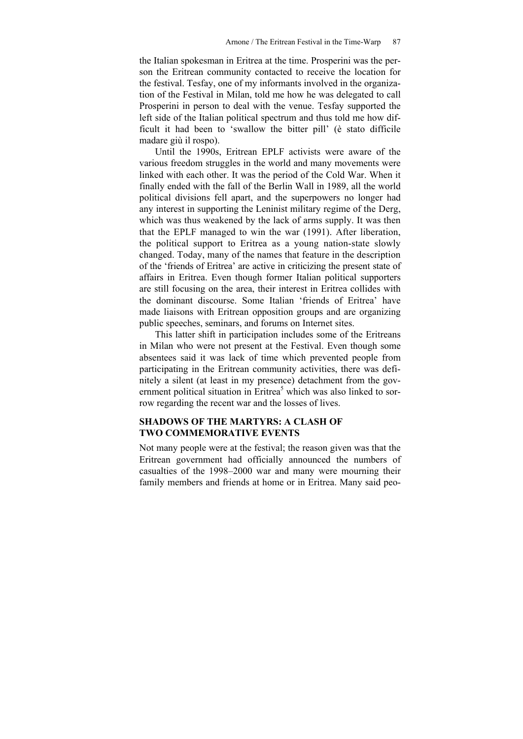the Italian spokesman in Eritrea at the time. Prosperini was the person the Eritrean community contacted to receive the location for the festival. Tesfay, one of my informants involved in the organization of the Festival in Milan, told me how he was delegated to call Prosperini in person to deal with the venue. Tesfay supported the left side of the Italian political spectrum and thus told me how difficult it had been to 'swallow the bitter pill' (è stato difficile madare giù il rospo).

Until the 1990s, Eritrean EPLF activists were aware of the various freedom struggles in the world and many movements were linked with each other. It was the period of the Cold War. When it finally ended with the fall of the Berlin Wall in 1989, all the world political divisions fell apart, and the superpowers no longer had any interest in supporting the Leninist military regime of the Derg, which was thus weakened by the lack of arms supply. It was then that the EPLF managed to win the war (1991). After liberation, the political support to Eritrea as a young nation-state slowly changed. Today, many of the names that feature in the description of the 'friends of Eritrea' are active in criticizing the present state of affairs in Eritrea. Even though former Italian political supporters are still focusing on the area, their interest in Eritrea collides with the dominant discourse. Some Italian 'friends of Eritrea' have made liaisons with Eritrean opposition groups and are organizing public speeches, seminars, and forums on Internet sites.

This latter shift in participation includes some of the Eritreans in Milan who were not present at the Festival. Even though some absentees said it was lack of time which prevented people from participating in the Eritrean community activities, there was definitely a silent (at least in my presence) detachment from the government political situation in Eritrea<sup>5</sup> which was also linked to sorrow regarding the recent war and the losses of lives.

# **SHADOWS OF THE MARTYRS: A CLASH OF TWO COMMEMORATIVE EVENTS**

Not many people were at the festival; the reason given was that the Eritrean government had officially announced the numbers of casualties of the 1998–2000 war and many were mourning their family members and friends at home or in Eritrea. Many said peo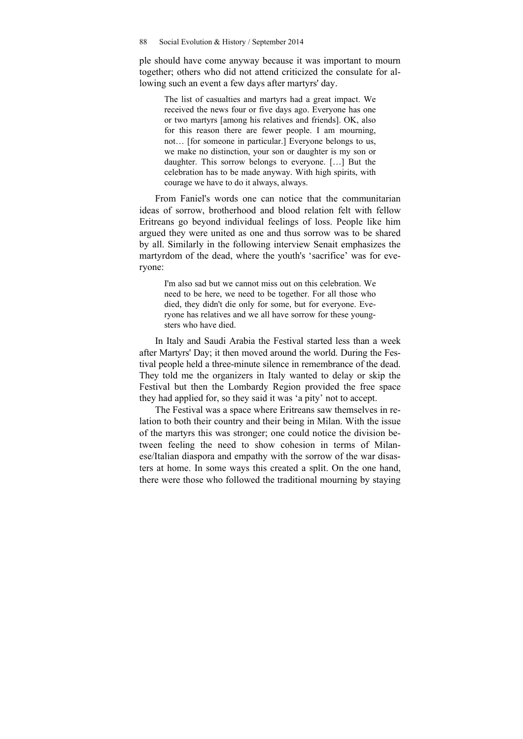ple should have come anyway because it was important to mourn together; others who did not attend criticized the consulate for allowing such an event a few days after martyrs' day.

The list of casualties and martyrs had a great impact. We received the news four or five days ago. Everyone has one or two martyrs [among his relatives and friends]. OK, also for this reason there are fewer people. I am mourning, not… [for someone in particular.] Everyone belongs to us, we make no distinction, your son or daughter is my son or daughter. This sorrow belongs to everyone. […] But the celebration has to be made anyway. With high spirits, with courage we have to do it always, always.

From Faniel's words one can notice that the communitarian ideas of sorrow, brotherhood and blood relation felt with fellow Eritreans go beyond individual feelings of loss. People like him argued they were united as one and thus sorrow was to be shared by all. Similarly in the following interview Senait emphasizes the martyrdom of the dead, where the youth's 'sacrifice' was for everyone:

I'm also sad but we cannot miss out on this celebration. We need to be here, we need to be together. For all those who died, they didn't die only for some, but for everyone. Everyone has relatives and we all have sorrow for these youngsters who have died.

In Italy and Saudi Arabia the Festival started less than a week after Martyrs' Day; it then moved around the world. During the Festival people held a three-minute silence in remembrance of the dead. They told me the organizers in Italy wanted to delay or skip the Festival but then the Lombardy Region provided the free space they had applied for, so they said it was 'a pity' not to accept.

The Festival was a space where Eritreans saw themselves in relation to both their country and their being in Milan. With the issue of the martyrs this was stronger; one could notice the division between feeling the need to show cohesion in terms of Milanese/Italian diaspora and empathy with the sorrow of the war disasters at home. In some ways this created a split. On the one hand, there were those who followed the traditional mourning by staying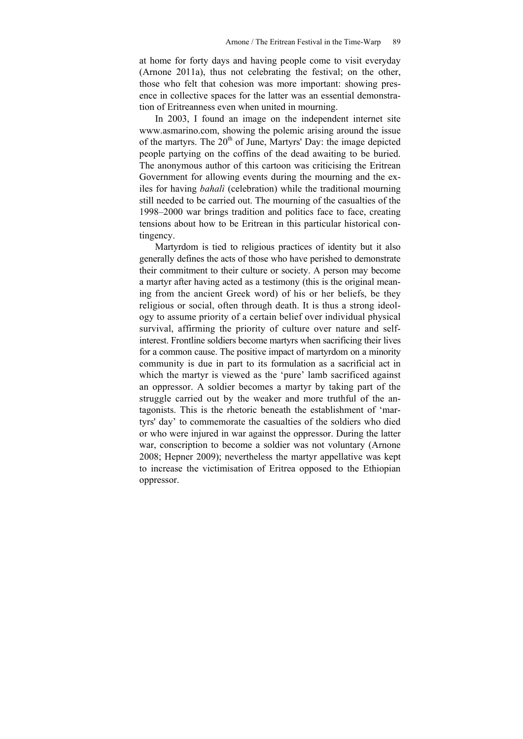at home for forty days and having people come to visit everyday (Arnone 2011a), thus not celebrating the festival; on the other, those who felt that cohesion was more important: showing presence in collective spaces for the latter was an essential demonstration of Eritreanness even when united in mourning.

In 2003, I found an image on the independent internet site www.asmarino.com, showing the polemic arising around the issue of the martyrs. The  $20<sup>th</sup>$  of June, Martyrs' Day: the image depicted people partying on the coffins of the dead awaiting to be buried. The anonymous author of this cartoon was criticising the Eritrean Government for allowing events during the mourning and the exiles for having *bahalì* (celebration) while the traditional mourning still needed to be carried out. The mourning of the casualties of the 1998–2000 war brings tradition and politics face to face, creating tensions about how to be Eritrean in this particular historical contingency.

Martyrdom is tied to religious practices of identity but it also generally defines the acts of those who have perished to demonstrate their commitment to their culture or society. A person may become a martyr after having acted as a testimony (this is the original meaning from the ancient Greek word) of his or her beliefs, be they religious or social, often through death. It is thus a strong ideology to assume priority of a certain belief over individual physical survival, affirming the priority of culture over nature and selfinterest. Frontline soldiers become martyrs when sacrificing their lives for a common cause. The positive impact of martyrdom on a minority community is due in part to its formulation as a sacrificial act in which the martyr is viewed as the 'pure' lamb sacrificed against an oppressor. A soldier becomes a martyr by taking part of the struggle carried out by the weaker and more truthful of the antagonists. This is the rhetoric beneath the establishment of 'martyrs' day' to commemorate the casualties of the soldiers who died or who were injured in war against the oppressor. During the latter war, conscription to become a soldier was not voluntary (Arnone 2008; Hepner 2009); nevertheless the martyr appellative was kept to increase the victimisation of Eritrea opposed to the Ethiopian oppressor.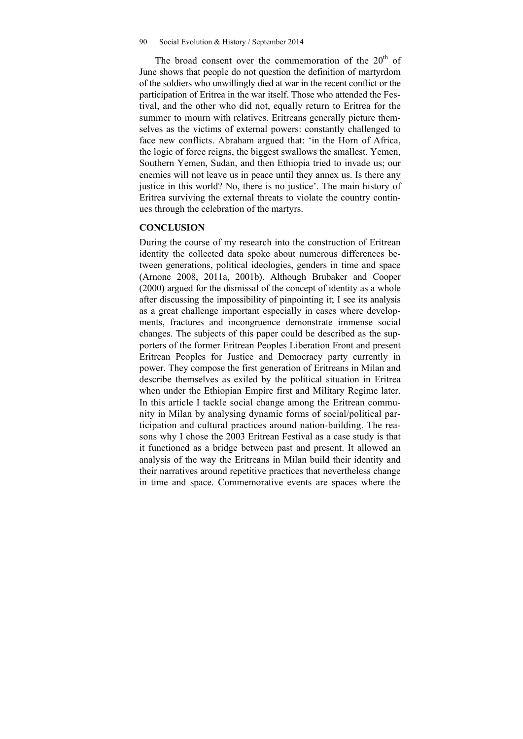The broad consent over the commemoration of the  $20<sup>th</sup>$  of June shows that people do not question the definition of martyrdom of the soldiers who unwillingly died at war in the recent conflict or the participation of Eritrea in the war itself. Those who attended the Festival, and the other who did not, equally return to Eritrea for the summer to mourn with relatives. Eritreans generally picture themselves as the victims of external powers: constantly challenged to face new conflicts. Abraham argued that: 'in the Horn of Africa, the logic of force reigns, the biggest swallows the smallest. Yemen, Southern Yemen, Sudan, and then Ethiopia tried to invade us; our enemies will not leave us in peace until they annex us. Is there any justice in this world? No, there is no justice'. The main history of Eritrea surviving the external threats to violate the country continues through the celebration of the martyrs.

# **CONCLUSION**

During the course of my research into the construction of Eritrean identity the collected data spoke about numerous differences between generations, political ideologies, genders in time and space (Arnone 2008, 2011a, 2001b). Although Brubaker and Cooper (2000) argued for the dismissal of the concept of identity as a whole after discussing the impossibility of pinpointing it; I see its analysis as a great challenge important especially in cases where developments, fractures and incongruence demonstrate immense social changes. The subjects of this paper could be described as the supporters of the former Eritrean Peoples Liberation Front and present Eritrean Peoples for Justice and Democracy party currently in power. They compose the first generation of Eritreans in Milan and describe themselves as exiled by the political situation in Eritrea when under the Ethiopian Empire first and Military Regime later. In this article I tackle social change among the Eritrean community in Milan by analysing dynamic forms of social/political participation and cultural practices around nation-building. The reasons why I chose the 2003 Eritrean Festival as a case study is that it functioned as a bridge between past and present. It allowed an analysis of the way the Eritreans in Milan build their identity and their narratives around repetitive practices that nevertheless change in time and space. Commemorative events are spaces where the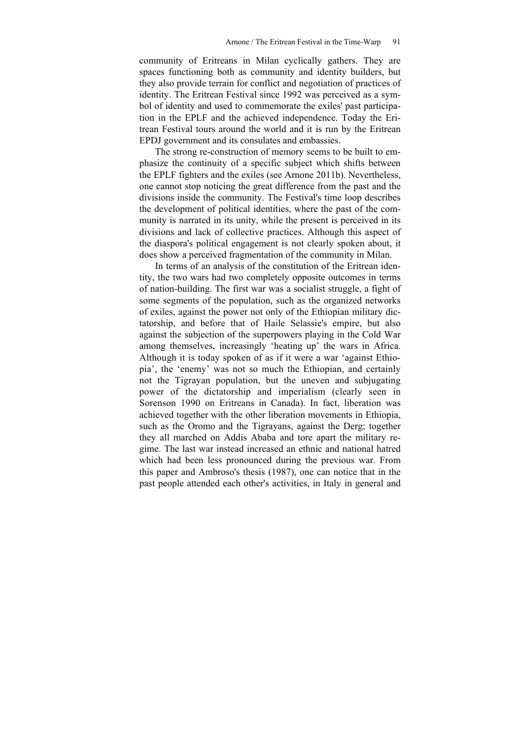community of Eritreans in Milan cyclically gathers. They are spaces functioning both as community and identity builders, but they also provide terrain for conflict and negotiation of practices of identity. The Eritrean Festival since 1992 was perceived as a symbol of identity and used to commemorate the exiles' past participation in the EPLF and the achieved independence. Today the Eritrean Festival tours around the world and it is run by the Eritrean EPDJ government and its consulates and embassies.

The strong re-construction of memory seems to be built to emphasize the continuity of a specific subject which shifts between the EPLF fighters and the exiles (see Arnone 2011b). Nevertheless, one cannot stop noticing the great difference from the past and the divisions inside the community. The Festival's time loop describes the development of political identities, where the past of the community is narrated in its unity, while the present is perceived in its divisions and lack of collective practices. Although this aspect of the diaspora's political engagement is not clearly spoken about, it does show a perceived fragmentation of the community in Milan.

In terms of an analysis of the constitution of the Eritrean identity, the two wars had two completely opposite outcomes in terms of nation-building. The first war was a socialist struggle, a fight of some segments of the population, such as the organized networks of exiles, against the power not only of the Ethiopian military dictatorship, and before that of Haile Selassie's empire, but also against the subjection of the superpowers playing in the Cold War among themselves, increasingly 'heating up' the wars in Africa. Although it is today spoken of as if it were a war 'against Ethiopia', the 'enemy' was not so much the Ethiopian, and certainly not the Tigrayan population, but the uneven and subjugating power of the dictatorship and imperialism (clearly seen in Sorenson 1990 on Eritreans in Canada). In fact, liberation was achieved together with the other liberation movements in Ethiopia, such as the Oromo and the Tigrayans, against the Derg; together they all marched on Addis Ababa and tore apart the military regime. The last war instead increased an ethnic and national hatred which had been less pronounced during the previous war. From this paper and Ambroso's thesis (1987), one can notice that in the past people attended each other's activities, in Italy in general and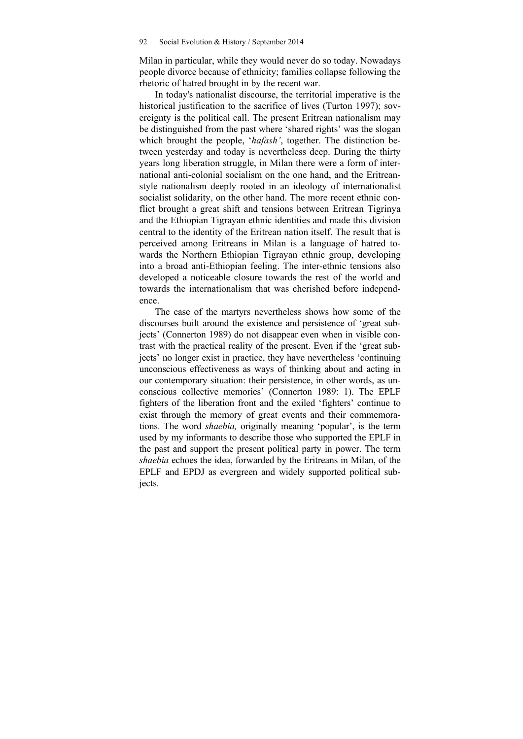Milan in particular, while they would never do so today. Nowadays people divorce because of ethnicity; families collapse following the rhetoric of hatred brought in by the recent war.

In today's nationalist discourse, the territorial imperative is the historical justification to the sacrifice of lives (Turton 1997); sovereignty is the political call. The present Eritrean nationalism may be distinguished from the past where 'shared rights' was the slogan which brought the people, '*hafash'*, together. The distinction between yesterday and today is nevertheless deep. During the thirty years long liberation struggle, in Milan there were a form of international anti-colonial socialism on the one hand, and the Eritreanstyle nationalism deeply rooted in an ideology of internationalist socialist solidarity, on the other hand. The more recent ethnic conflict brought a great shift and tensions between Eritrean Tigrinya and the Ethiopian Tigrayan ethnic identities and made this division central to the identity of the Eritrean nation itself. The result that is perceived among Eritreans in Milan is a language of hatred towards the Northern Ethiopian Tigrayan ethnic group, developing into a broad anti-Ethiopian feeling. The inter-ethnic tensions also developed a noticeable closure towards the rest of the world and towards the internationalism that was cherished before independence.

The case of the martyrs nevertheless shows how some of the discourses built around the existence and persistence of 'great subjects' (Connerton 1989) do not disappear even when in visible contrast with the practical reality of the present. Even if the 'great subjects' no longer exist in practice, they have nevertheless 'continuing unconscious effectiveness as ways of thinking about and acting in our contemporary situation: their persistence, in other words, as unconscious collective memories' (Connerton 1989: 1). The EPLF fighters of the liberation front and the exiled 'fighters' continue to exist through the memory of great events and their commemorations. The word *shaebia,* originally meaning 'popular', is the term used by my informants to describe those who supported the EPLF in the past and support the present political party in power. The term *shaebia* echoes the idea, forwarded by the Eritreans in Milan, of the EPLF and EPDJ as evergreen and widely supported political subjects.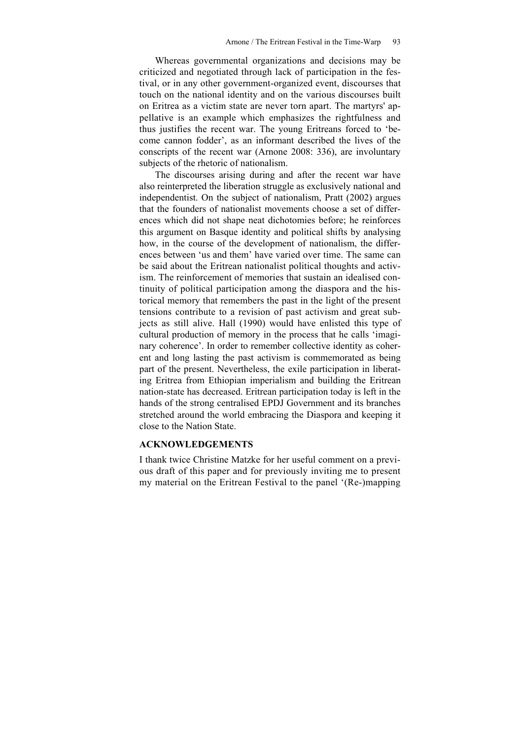Whereas governmental organizations and decisions may be criticized and negotiated through lack of participation in the festival, or in any other government-organized event, discourses that touch on the national identity and on the various discourses built on Eritrea as a victim state are never torn apart. The martyrs' appellative is an example which emphasizes the rightfulness and thus justifies the recent war. The young Eritreans forced to 'become cannon fodder', as an informant described the lives of the conscripts of the recent war (Arnone 2008: 336), are involuntary subjects of the rhetoric of nationalism.

The discourses arising during and after the recent war have also reinterpreted the liberation struggle as exclusively national and independentist. On the subject of nationalism, Pratt (2002) argues that the founders of nationalist movements choose a set of differences which did not shape neat dichotomies before; he reinforces this argument on Basque identity and political shifts by analysing how, in the course of the development of nationalism, the differences between 'us and them' have varied over time. The same can be said about the Eritrean nationalist political thoughts and activism. The reinforcement of memories that sustain an idealised continuity of political participation among the diaspora and the historical memory that remembers the past in the light of the present tensions contribute to a revision of past activism and great subjects as still alive. Hall (1990) would have enlisted this type of cultural production of memory in the process that he calls 'imaginary coherence'. In order to remember collective identity as coherent and long lasting the past activism is commemorated as being part of the present. Nevertheless, the exile participation in liberating Eritrea from Ethiopian imperialism and building the Eritrean nation-state has decreased. Eritrean participation today is left in the hands of the strong centralised EPDJ Government and its branches stretched around the world embracing the Diaspora and keeping it close to the Nation State.

#### **ACKNOWLEDGEMENTS**

I thank twice Christine Matzke for her useful comment on a previous draft of this paper and for previously inviting me to present my material on the Eritrean Festival to the panel '(Re-)mapping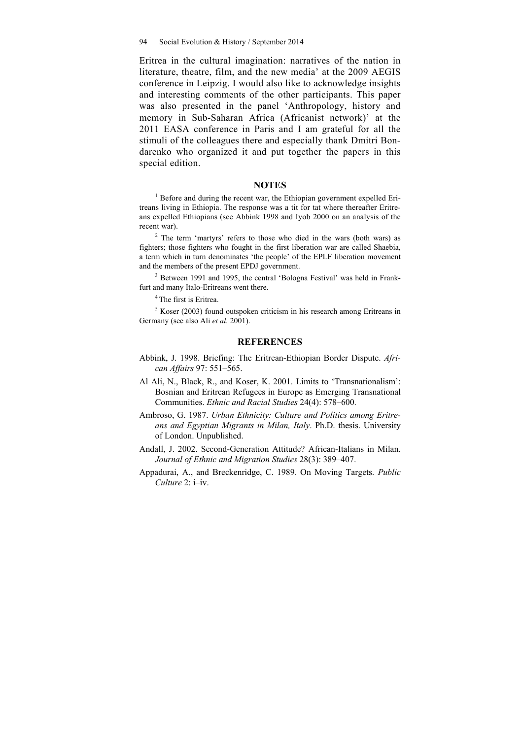Eritrea in the cultural imagination: narratives of the nation in literature, theatre, film, and the new media' at the 2009 AEGIS conference in Leipzig. I would also like to acknowledge insights and interesting comments of the other participants. This paper was also presented in the panel 'Anthropology, history and memory in Sub-Saharan Africa (Africanist network)' at the 2011 EASA conference in Paris and I am grateful for all the stimuli of the colleagues there and especially thank Dmitri Bondarenko who organized it and put together the papers in this special edition.

#### **NOTES**

<sup>1</sup> Before and during the recent war, the Ethiopian government expelled Eritreans living in Ethiopia. The response was a tit for tat where thereafter Eritreans expelled Ethiopians (see Abbink 1998 and Iyob 2000 on an analysis of the recent war).

 $2$  The term 'martyrs' refers to those who died in the wars (both wars) as fighters; those fighters who fought in the first liberation war are called Shaebia, a term which in turn denominates 'the people' of the EPLF liberation movement and the members of the present EPDJ government.

<sup>3</sup> Between 1991 and 1995, the central 'Bologna Festival' was held in Frankfurt and many Italo-Eritreans went there.

<sup>4</sup> The first is Eritrea.

<sup>5</sup> Koser (2003) found outspoken criticism in his research among Eritreans in Germany (see also Ali et al. 2001).

#### **REFERENCES**

- Abbink, J. 1998. Briefing: The Eritrean-Ethiopian Border Dispute. *African Affairs* 97: 551–565.
- Al Ali, N., Black, R., and Koser, K. 2001. Limits to 'Transnationalism': Bosnian and Eritrean Refugees in Europe as Emerging Transnational Communities. *Ethnic and Racial Studies* 24(4): 578–600.
- Ambroso, G. 1987. *Urban Ethnicity: Culture and Politics among Eritreans and Egyptian Migrants in Milan, Italy*. Ph.D. thesis. University of London. Unpublished.
- Andall, J. 2002. Second-Generation Attitude? African-Italians in Milan. *Journal of Ethnic and Migration Studies* 28(3): 389–407.
- Appadurai, A., and Breckenridge, C. 1989. On Moving Targets. *Public Culture* 2: i–iv.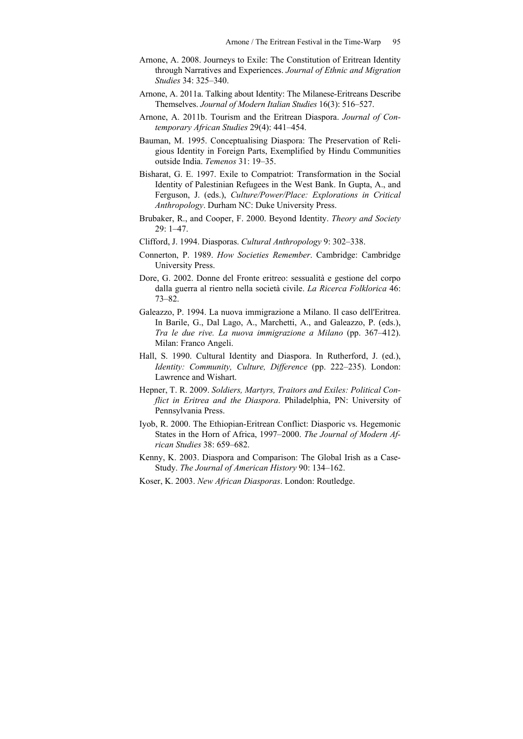- Arnone, A. 2008. Journeys to Exile: The Constitution of Eritrean Identity through Narratives and Experiences. *Journal of Ethnic and Migration Studies* 34: 325–340.
- Arnone, A. 2011a. Talking about Identity: The Milanese-Eritreans Describe Themselves. *Journal of Modern Italian Studies* 16(3): 516–527.
- Arnone, A. 2011b. Tourism and the Eritrean Diaspora. *Journal of Contemporary African Studies* 29(4): 441–454.
- Bauman, M. 1995. Conceptualising Diaspora: The Preservation of Religious Identity in Foreign Parts, Exemplified by Hindu Communities outside India. *Temenos* 31: 19–35.
- Bisharat, G. E. 1997. Exile to Compatriot: Transformation in the Social Identity of Palestinian Refugees in the West Bank. In Gupta, A., and Ferguson, J. (eds.), *Culture/Power/Place: Explorations in Critical Anthropology*. Durham NC: Duke University Press.
- Brubaker, R., and Cooper, F. 2000. Beyond Identity. *Theory and Society*  29: 1–47.
- Clifford, J. 1994. Diasporas. *Cultural Anthropology* 9: 302–338.
- Connerton, P. 1989. *How Societies Remember*. Cambridge: Cambridge University Press.
- Dore, G. 2002. Donne del Fronte eritreo: sessualità e gestione del corpo dalla guerra al rientro nella società civile. *La Ricerca Folklorica* 46: 73–82.
- Galeazzo, P. 1994. La nuova immigrazione a Milano. Il caso dell'Eritrea. In Barile, G., Dal Lago, A., Marchetti, A., and Galeazzo, P. (eds.), *Tra le due rive. La nuova immigrazione a Milano* (pp. 367–412). Milan: Franco Angeli.
- Hall, S. 1990. Cultural Identity and Diaspora. In Rutherford, J. (ed.), *Identity: Community, Culture, Difference* (pp. 222–235). London: Lawrence and Wishart.
- Hepner, T. R. 2009. *Soldiers, Martyrs, Traitors and Exiles: Political Conflict in Eritrea and the Diaspora*. Philadelphia, PN: University of Pennsylvania Press.
- Iyob, R. 2000. The Ethiopian-Eritrean Conflict: Diasporic vs. Hegemonic States in the Horn of Africa, 1997–2000. *The Journal of Modern African Studies* 38: 659–682.
- Kenny, K. 2003. Diaspora and Comparison: The Global Irish as a Case-Study. *The Journal of American History* 90: 134–162.
- Koser, K. 2003. *New African Diasporas*. London: Routledge.